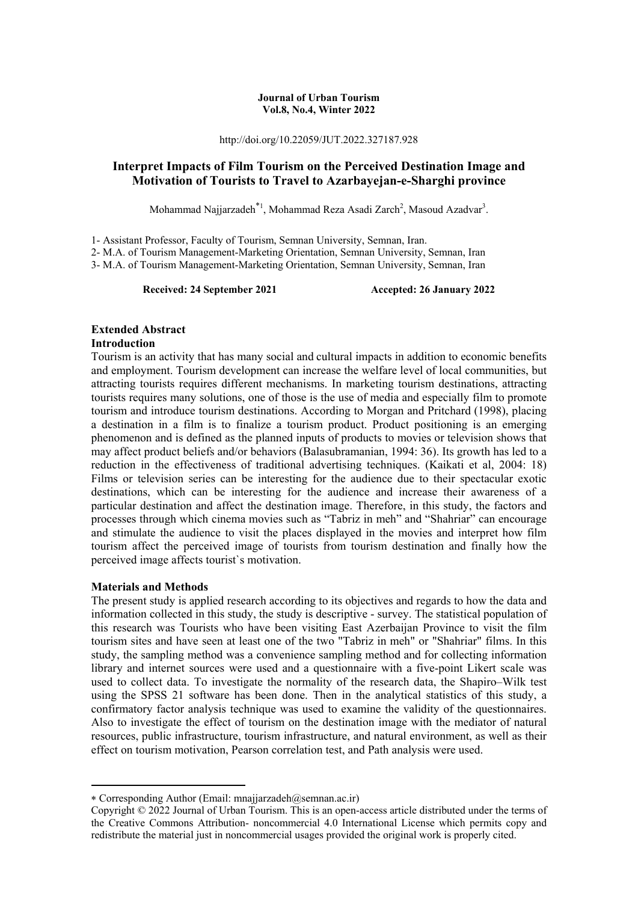#### **Journal of Urban Tourism Vol.8, No.4, Winter 2022**

http://doi.org/10.22059/JUT.2022.327187.928

# **Interpret Impacts of Film Tourism on the Perceived Destination Image and Motivation of Tourists to Travel to Azarbayejan-e-Sharghi province**

Mohammad Najjarzadeh<sup>\*1</sup>, Mohammad Reza Asadi Zarch<sup>2</sup>, Masoud Azadvar<sup>3</sup>.

1- Assistant Professor, Faculty of Tourism, Semnan University, Semnan, Iran.

2- M.A. of Tourism Management-Marketing Orientation, Semnan University, Semnan, Iran 3- M.A. of Tourism Management-Marketing Orientation, Semnan University, Semnan, Iran

**Received: 24 September 2021 Accepted: 26 January 2022** 

# **Extended Abstract**

### **Introduction**

Tourism is an activity that has many social and cultural impacts in addition to economic benefits and employment. Tourism development can increase the welfare level of local communities, but attracting tourists requires different mechanisms. In marketing tourism destinations, attracting tourists requires many solutions, one of those is the use of media and especially film to promote tourism and introduce tourism destinations. According to Morgan and Pritchard (1998), placing a destination in a film is to finalize a tourism product. Product positioning is an emerging phenomenon and is defined as the planned inputs of products to movies or television shows that may affect product beliefs and/or behaviors (Balasubramanian, 1994: 36). Its growth has led to a reduction in the effectiveness of traditional advertising techniques. (Kaikati et al, 2004: 18) Films or television series can be interesting for the audience due to their spectacular exotic destinations, which can be interesting for the audience and increase their awareness of a particular destination and affect the destination image. Therefore, in this study, the factors and processes through which cinema movies such as "Tabriz in meh" and "Shahriar" can encourage and stimulate the audience to visit the places displayed in the movies and interpret how film tourism affect the perceived image of tourists from tourism destination and finally how the perceived image affects tourist`s motivation.

# **Materials and Methods**

**.** 

The present study is applied research according to its objectives and regards to how the data and information collected in this study, the study is descriptive - survey. The statistical population of this research was Tourists who have been visiting East Azerbaijan Province to visit the film tourism sites and have seen at least one of the two "Tabriz in meh" or "Shahriar" films. In this study, the sampling method was a convenience sampling method and for collecting information library and internet sources were used and a questionnaire with a five-point Likert scale was used to collect data. To investigate the normality of the research data, the Shapiro–Wilk test using the SPSS 21 software has been done. Then in the analytical statistics of this study, a confirmatory factor analysis technique was used to examine the validity of the questionnaires. Also to investigate the effect of tourism on the destination image with the mediator of natural resources, public infrastructure, tourism infrastructure, and natural environment, as well as their effect on tourism motivation, Pearson correlation test, and Path analysis were used.

Corresponding Author (Email: mnajjarzadeh@semnan.ac.ir)

Copyright © 2022 Journal of Urban Tourism. This is an open-access article distributed under the terms of the Creative Commons Attribution- noncommercial 4.0 International License which permits copy and redistribute the material just in noncommercial usages provided the original work is properly cited.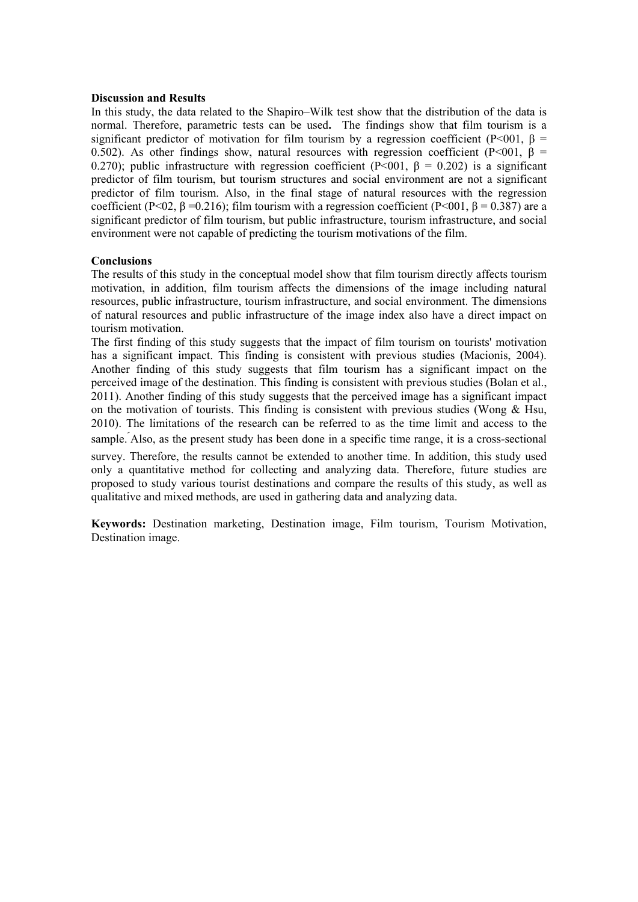#### **Discussion and Results**

In this study, the data related to the Shapiro–Wilk test show that the distribution of the data is normal. Therefore, parametric tests can be used**.** The findings show that film tourism is a significant predictor of motivation for film tourism by a regression coefficient (P<001,  $\beta$  = 0.502). As other findings show, natural resources with regression coefficient (P<001, β = 0.270); public infrastructure with regression coefficient (P<001,  $\beta = 0.202$ ) is a significant predictor of film tourism, but tourism structures and social environment are not a significant predictor of film tourism. Also, in the final stage of natural resources with the regression coefficient (P<02,  $\beta$  =0.216); film tourism with a regression coefficient (P<001,  $\beta$  = 0.387) are a significant predictor of film tourism, but public infrastructure, tourism infrastructure, and social environment were not capable of predicting the tourism motivations of the film.

### **Conclusions**

The results of this study in the conceptual model show that film tourism directly affects tourism motivation, in addition, film tourism affects the dimensions of the image including natural resources, public infrastructure, tourism infrastructure, and social environment. The dimensions of natural resources and public infrastructure of the image index also have a direct impact on tourism motivation.

The first finding of this study suggests that the impact of film tourism on tourists' motivation has a significant impact. This finding is consistent with previous studies (Macionis, 2004). Another finding of this study suggests that film tourism has a significant impact on the perceived image of the destination. This finding is consistent with previous studies (Bolan et al., 2011). Another finding of this study suggests that the perceived image has a significant impact on the motivation of tourists. This finding is consistent with previous studies (Wong  $\&$  Hsu, 2010). The limitations of the research can be referred to as the time limit and access to the sample. Also, as the present study has been done in a specific time range, it is a cross-sectional

survey. Therefore, the results cannot be extended to another time. In addition, this study used only a quantitative method for collecting and analyzing data. Therefore, future studies are proposed to study various tourist destinations and compare the results of this study, as well as qualitative and mixed methods, are used in gathering data and analyzing data.

**Keywords:** Destination marketing, Destination image, Film tourism, Tourism Motivation, Destination image.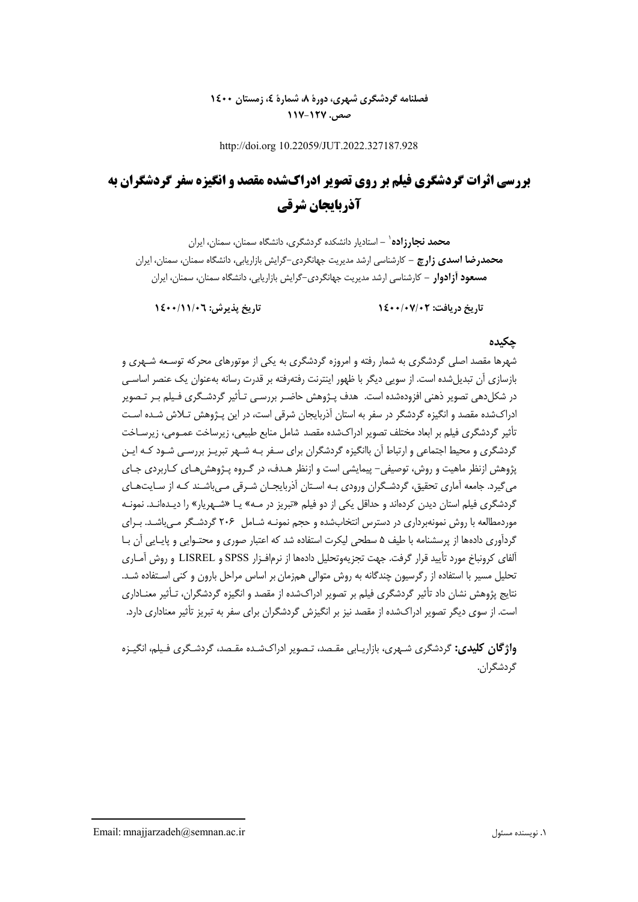# **فصلنامه گردشگري شهري، دورة ،8 شمارة ،4 زمستان 1400 صص. -127 117**

http://doi.org 10.22059/JUT.2022.327187.928

# **بررسي اثرات گردشگري فيلم بر روي تصوير ادراكشده مقصد و انگيزه سفر گردشگران به آذربايجان شرقي**

**-** استاديار دانشكده گردشگري، دانشگاه سمنان، سمنان، ايران <sup>1</sup> **محمد نجارزاده محمدرضا اسدي زارچ -** كارشناسي ارشد مديريت جهانگردي-گرايش بازاريابي، دانشگاه سمنان، سمنان، ايران **مسعود آزادوار -** كارشناسي ارشد مديريت جهانگردي-گرايش بازاريابي، دانشگاه سمنان، سمنان، ايران

**تاريخ دريافت: 1400/07/02 تاريخ پذيرش: 1400/11/06**

# **چكيده**

شهرها مقصد اصلي گردشگري به شمار رفته و امروزه گردشگري به يكي از موتورهاي محركه توسـعه شـهري و بازسازي آن تبديلشده است. از سويي ديگر با ظهور اينترنت رفتهرفته بر قدرت رسانه بهعنوان يك عنصر اساسـي در شكلدهي تصوير ذهني افزودهشده است. هدف پـژوهش حاضـر بررسـي تـأثير گردشـگري فـيلم بـر تـصوير ادراكشده مقصد و انگيزه گردشگر در سفر به استان آذربايجان شرقي است، در اين پـژوهش تـلاش شـده اسـت تأثير گردشگري فيلم بر ابعاد مختلف تصوير ادراكشده مقصد شامل منابع طبيعي، زيرساخت عمـومي، زيرسـاخت گردشگري و محيط اجتماعي و ارتباط آن باانگيزه گردشگران براي سـفر بـه شـهر تبريـز بررسـي شـود كـه ايـن پژوهش ازنظر ماهيت و روش، توصيفي- پيمايشي است و ازنظر هـدف، در گـروه پـژوهشهـاي كـاربردي جـاي ميگيرد. جامعه آماري تحقيق، گردشـگران ورودي بـه اسـتان آذربايجـان شـرقي مـي باشـند كـه از سـايتهـاي گردشگري فيلم استان ديدن كردهاند و حداقل يكي از دو فيلم «تبريز در مـه» يـا «شـهريار» را ديـدهانـد. نمونـه موردمطالعه با روش نمونهبرداري در دسترس انتخابشده و حجم نمونـه شـامل 206 گردشـگر مـيباشـد. بـراي گردآوري دادهها از پرسشنامه با طيف 5 سطحي ليكرت استفاده شد كه اعتبار صوري و محتـوايي و پايـايي آن بـا آلفاي كرونباخ مورد تأييد قرار گرفت. جهت تجزيهوتحليل دادهها از نرمافـزار SPSS و LISREL و روش آمـاري تحليل مسير با استفاده از رگرسيون چندگانه به روش متوالي هم زمان بر اساس مراحل بارون و كني اسـتفاده شـد. نتايج پژوهش نشان داد تأثير گردشگري فيلم بر تصوير ادراكشده از مقصد و انگيزه گردشگران، تـأثير معنـاداري است. از سوي ديگر تصوير ادراكشده از مقصد نيز بر انگيزش گردشگران براي سفر به تبريز تأثير معناداري دارد.

**واژگان كليدي:** گردشگري شـهري، بازاريـابي مقـصد، تـصوير ادراكشـده مقـصد، گردشـگري فـيلم، انگيـزه گردشگران.

Email: mnajjarzadeh@semnan.ac.ir مسئول نويسنده .1

1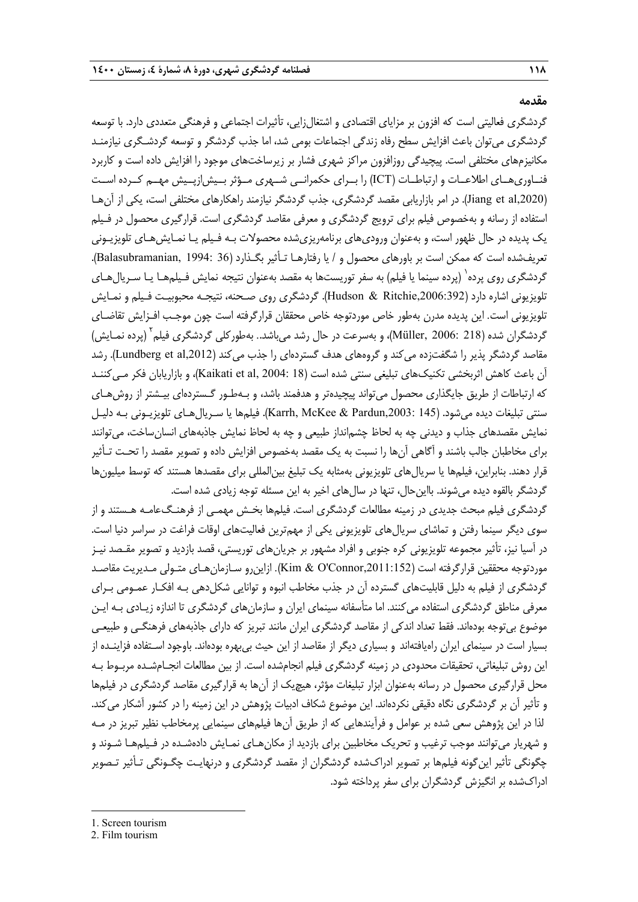#### **مقدمه**

گردشگري فعاليتي است كه افزون بر مزاياي اقتصادي و اشتغال زايي، تأثيرات اجتماعي و فرهنگي متعددي دارد. با توسعه گردشگري ميتوان باعث افزايش سطح رفاه زندگي اجتماعات بومي شد، اما جذب گردشگر و توسعه گردشـگري نيازمنـد مكانيزمهاي مختلفي است. پيچيدگي روزافزون مراكز شهري فشار بر زيرساختهاي موجود را افزايش داده است و كاربرد فنــاوريهــاي اطلاعــات و ارتباطــات (ICT (را بــراي حكمرانــي شــهري مــؤثر بــيشازپــيش مهــم كــرده اســت (Jiang et al,2020). در امر بازاريابي مقصد گردشگري، جذب گردشگر نيازمند راهكارهاي مختلفي است، يكي از آن هـا استفاده از رسانه و بهخصوص فيلم براي ترويج گردشگري و معرفي مقاصد گردشگري است. قرارگيري محصول در فـيلم يك پديده در حال ظهور است، و بهعنوان وروديهاي برنامهريزيشده محصولات بـه فـيلم يـا نمـايشهـاي تلويزيـوني تعريفشده است كه ممكن است بر باورهاي محصول و / يا رفتارهـا تـأثير بگـذارد (36 1994: ,Balasubramanian(. گردشگری روی پرده<sup>\</sup> (پرده سينما يا فيلم) به سفر توريستها به مقصد بهعنوان نتيجه نمايش فـيلمهـا يـا سـريالهـای تلويزيوني اشاره دارد (Hudson & Ritchie,2006:392). گردشگري روي صـحنه، نتيجـه محبوبيـت فـيلم و نمـايش تلويزيوني است. اين پديده مدرن بهطور خاص موردتوجه خاص محققان قرارگرفته است چون موجـب افـزايش تقاضـاي گردشگران شده (218 .Müller, 2006)، و بهسرعت در حال رشد ميباشد.. بهطوركلي گردشگري فيلم<sup>۲</sup> (پرده نمـايش) مقاصد گردشگر پذير را شگفتزده مي كند و گروههاي هدف گستردهاي را جذب مي كند (Lundberg et al,2012). رشد آن باعث كاهش اثربخشي تكنيك\$هاي تبليغي سنتي شده است (18 :Kaikati et al, 2004)، و بازاريابان فكر مـي كننــد كه ارتباطات از طريق جايگذاري محصول ميتواند پيچيدهتر و هدفمند باشد، و بـهطـور گـستردهاي بيـشتر از روشهـاي سنتي تبليغات ديده مي شود. (145 ;Karrh, McKee & Pardun,2003). فيلمها يا سـريالهـاي تلويزيـوني بـه دليـل نمايش مقصدهاي جذاب و ديدني چه به لحاظ چشمانداز طبيعي و چه به لحاظ نمايش جاذبههاي انسانساخت، ميتوانند براي مخاطبان جالب باشند و آگاهي آنها را نسبت به يك مقصد بهخصوص افزايش داده و تصوير مقصد را تحـت تـأثير قرار دهند. بنابراين، فيلمها يا سريالهاي تلويزيوني بهمثابه يك تبليغ بينالمللي براي مقصدها هستند كه توسط ميليونها گردشگر بالقوه ديده ميشوند. بااينحال، تنها در سالهاي اخير به اين مسئله توجه زيادي شده است.

گردشگري فيلم مبحث جديدي در زمينه مطالعات گردشگري است. فيلمها بخـش مهمـي از فرهنـگعامـه هـستند و از سوي ديگر سينما رفتن و تماشاي سريالهاي تلويزيوني يكي از مهمترين فعاليتهاي اوقات فراغت در سراسر دنيا است. در آسيا نيز، تأثير مجموعه تلويزيوني كره جنوبي و افراد مشهور بر جريان هاي توريستي، قصد بازديد و تصوير مقـصد نيـز موردتوجه محققين قرارگرفته است (Kim & O'Connor,2011:152). ازاينرو سـازمانهـاي متـولي مـديريت مقاصـد گردشگري از فيلم به دليل قابليتهاي گسترده آن در جذب مخاطب انبوه و توانايي شكل دهي بـه افكـار عمـومي بـراي معرفي مناطق گردشگري استفاده ميكنند. اما متأسفانه سينماي ايران و سازمانهاي گردشگري تا اندازه زيـادي بـه ايـن موضوع بيتوجه بودهاند. فقط تعداد اندكي از مقاصد گردشگري ايران مانند تبريز كه داراي جاذبههاي فرهنگـي و طبيعـي بسيار است در سينماي ايران راهيافتهاند و بسياري ديگر از مقاصد از اين حيث بيبهره بودهاند. باوجود اسـتفاده فزاينـده از اين روش تبليغاتي، تحقيقات محدودي در زمينه گردشگري فيلم انجامشده است. از بين مطالعات انجـامشـده مربـوط بـه محل قرارگيري محصول در رسانه بهعنوان ابزار تبليغات مؤثر، هيچيك از آنها به قرارگيري مقاصد گردشگري در فيلمها و تأثير آن بر گردشگري نگاه دقيقي نكردهاند. اين موضوع شكاف ادبيات پژوهش در اين زمينه را در كشور آشكار ميكند. لذا در اين پژوهش سعي شده بر عوامل و فرآيندهايي كه از طريق آن ها فيلمهاي سينمايي پرمخاطب نظير تبريز در مـه و شهريار ميتوانند موجب ترغيب و تحريك مخاطبين براي بازديد از مكان هـاي نمـايش دادهشـده در فـيلمهـا شـوند و چگونگي تأثير اينگونه فيلمها بر تصوير ادراكشده گردشگران از مقصد گردشگري و درنهايـت چگـونگي تـأثير تـصوير ادراكشده بر انگيزش گردشگران براي سفر پرداخته شود.

<sup>1.</sup> Screen tourism

<sup>2.</sup> Film tourism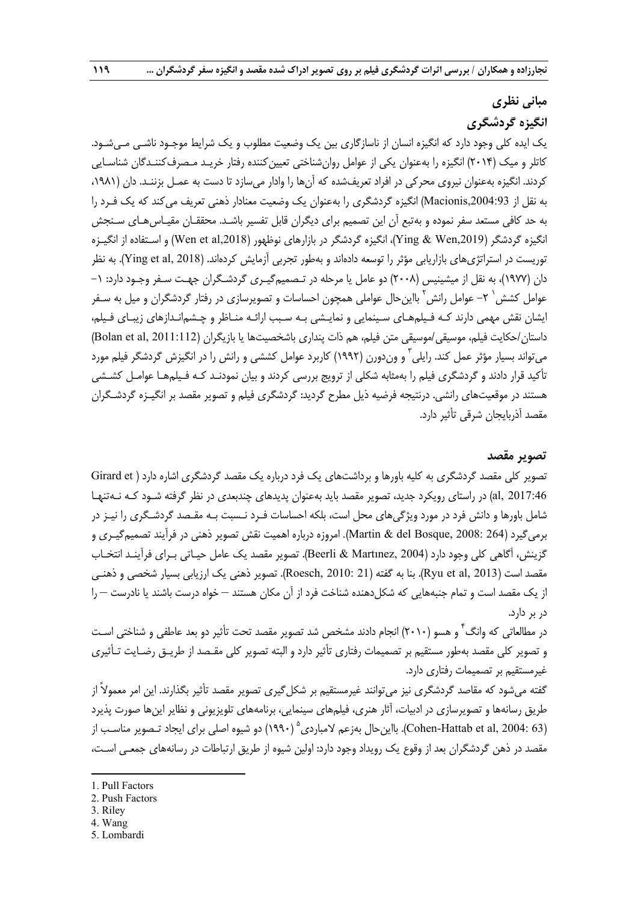# **مباني نظري انگيزه گردشگري**

يك ايده كلي وجود دارد كه انگيزه انسان از ناسازگاري بين يك وضعيت مطلوب و يك شرايط موجـود ناشـي مـيشـود. كاتلر و ميك (2014) انگيزه را بهعنوان يكي از عوامل روانشناختي تعيينكننده رفتار خريـد مـصرفكننـدگان شناسـايي كردند. انگيزه بهعنوان نيروي محركي در افراد تعريفشده كه آنها را وادار ميسازد تا دست به عمـل بزننـد. دان (،1981 به نقل از ,2004:93Macionis (انگيزه گردشگري را بهعنوان يك وضعيت معنادار ذهني تعريف ميكند كه يك فـرد را به حد كافي مستعد سفر نموده و بهتبع آن اين تصميم براي ديگران قابل تفسير باشـد . محققـان مقيـاسهـاي سـنجش انگيزه گردشگر (,2019Wen & Ying(، انگيزه گردشگر در بازارهاي نوظهور (,2018al et Wen (و اسـتفاده از انگيـزه توريست در استراتژيهاي بازاريابي مؤثر را توسعه دادهاند و بهطور تجربي آزمايش كردهاند. (2018 Ying et al, 2018). به نظر دان (1977)، به نقل از ميشينيس (2008) دو عامل يا مرحله در تـصميمگيـري گردشـگران جهـت سـفر وجـود دارد: -1 عوامل كشش ` ٢– عوامل رانش ` بااينحال عواملي همچون احساسات و تصويرسازي در رفتار گردشگران و ميل به سـفر ايشان نقش مهمي دارند كـه فـيلمهـاي سـينمايي و نمايـشي بـه سـبب ارائـه منـاظر و چـشم انـدازهاي زيبـاي فـيلم، داستان/حكايت فيلم، موسيقي/موسيقي متن فيلم، هم ذات پنداري باشخصيتها يا بازيگران (Bolan et al, 2011:112) میتواند بسيار مؤثر عمل كند. رايلي<sup>۳</sup> و وندورن (۱۹۹۲) كاربرد عوامل كششی و رانش را در انگيزش گردشگر فيلم مورد تأكيد قرار دادند و گردشگري فيلم را بهمثابه شكلي از ترويج بررسي كردند و بيان نمودنـد كـه فـيلمهـا عوامـل كشـشي هستند در موقعيتهاي رانشي. درنتيجه فرضيه ذيل مطرح گرديد: گردشگري فيلم و تصوير مقصد بر انگيـزه گردشـگران مقصد آذربايجان شرقي تأثير دارد.

# **تصوير مقصد**

تصوير كلي مقصد گردشگري به كليه باورها و برداشتهاي يك فرد درباره يك مقصد گردشگري اشاره دارد ( et Girard 2017:46 ,al (در راستاي رويكرد جديد، تصوير مقصد بايد بهعنوان پديدهاي چندبعدي در نظر گرفته شـود كـه نـهتنهـا شامل باورها و دانش فرد در مورد ويژگيهاي محل است، بلكه احساسات فـرد نـسبت بـه مقـصد گردشـگري را نيـز در برمي گيرد (264 :Martin & del Bosque, 2008). امروزه درباره اهميت نقش تصوير ذهني در فرآيند تصميمگيـري و گزينش، آگاهي كلي وجود دارد (2004 ,Martınez & Beerli(. تصوير مقصد يك عامل حيـاتي بـراي فرآينـد انتخـاب مقصد است (2013 ,Ryu et al). بنا به گفته (21 :Roesch, 2010). تصوير ذهني يک ارزيابي بسيار شخصي و ذهنـي از يك مقصد است و تمام جنبههايي كه شكل دهنده شناخت فرد از آن مكان هستند – خواه درست باشند يا نادرست – را در بر دارد.

در مطالعاتی که وانگ<sup>۴</sup> و هسو (۲۰۱۰) انجام دادند مشخص شد تصویر مقصد تحت تأثیر دو بعد عاطفی و شناختی اسـت و تصوير كلي مقصد بهطور مستقيم بر تصميمات رفتاري تأثير دارد و البته تصوير كلي مقـصد از طريـق رضـايت تـأثيري غيرمستقيم بر تصميمات رفتاري دارد.

گفته ميشود كه مقاصد گردشگري نيز ميتوانند غيرمستقيم بر شكلگيري تصوير مقصد تأثير بگذارند. اين امر معمولاً از طريق رسانهها و تصويرسازي در ادبيات، آثار هنري، فيلمهاي سينمايي، برنامههاي تلويزيوني و نظاير اينها صورت پذيرد (16 Cohen-Hattab et al, 2004: 63). بااين حال بهزعم لامباردي ° (١٩٩٠) دو شيوه اصلي براي ايجاد تـصوير مناسـب از مقصد در ذهن گردشگران بعد از وقوع يك رويداد وجود دارد : اولين شيوه از طريق ارتباطات در رسانههاي جمعـي اسـت،

3. Riley

- 4. Wang
- 5. Lombardi

<sup>1.</sup> Pull Factors

<sup>2.</sup> Push Factors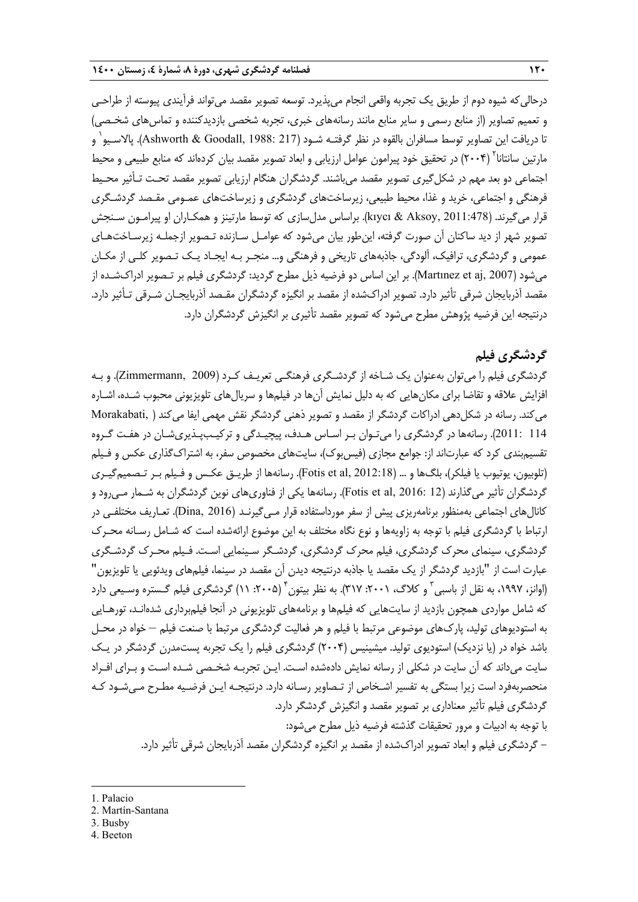درحالي كه شيوه دوم از طريق يك تجربه واقعي انجام مي يذيرد. توسعه تصوير مقصد مي تواند فرآيندي پيوسته از طراحـي و تعميم تصاوير (از منابع رسمي و ساير منابع مانند رسانههاي خبري، تجربه شخصي بازديدكننده و تماسهاي شخـصي) نا دريافت اين تصاوير توسط مسافران بالقوه در نظر گرفتـه شـود (217 :Ashworth & Goodall, 1988). پالاسـيو<sup>י</sup> و مارتين سانتانا<sup>۲</sup> (۲۰۰۴) در تحقيق خود پيرامون عوامل ارزيابي و ابعاد تصوير مقصد بيان كردهاند كه منابع طبيعي و محيط اجتماعي دو بعد مهم در شكلگيري تصوير مقصد ميباشند. گردشگران هنگام ارزيابي تصوير مقصد تحـت تـأثير محـيط فرهنگي و اجتماعي، خريد و غذا، محيط طبيعي، زيرساختهاي گردشگري و زيرساختهاي عمـومي مقـصد گردشـگري قرار ميگيرند. (2011:478 ,Aksoy & kıycı(. براساس مدلسازي كه توسط مارتينز و همكـاران او پيرامـون سـنجش تصوير شهر از ديد ساكنان آن صورت گرفته، اينطور بيان ميشود كه عوامـل سـازنده تـصوير ازجملـه زيرسـاخت هـاي عمومي و گردشگري، ترافيك، آلودگي، جاذبههاي تاريخي و فرهنگي و... منجـر بـه ايجـاد يـك تـصوير كلـي از مكـان ميشود (2007 ,aj et Martınez(. بر اين اساس دو فرضيه ذيل مطرح گرديد: گردشگري فيلم بر تـصوير ادراكشـده از مقصد آذربايجان شرقي تأثير دارد. تصوير ادراكشده از مقصد بر انگيزه گردشگران مقـصد آذربايجـان شـرقي تـأثير دارد. درنتيجه اين فرضيه پژوهش مطرح ميشود كه تصوير مقصد تأثيري بر انگيزش گردشگران دارد.

# **گردشگري فيلم**

گردشگري فيلم را ميتوان بهعنوان يك شـاخه از گردشـگري فرهنگـي تعريـف كـرد (2009 ,Zimmermann(. و بـه افزايش علاقه و تقاضا براي مكانهايي كه به دليل نمايش آنها در فيلمها و سريالهاي تلويزيوني محبوب شـده، اشـاره ميكند. رسانه در شكلدهي ادراكات گردشگر از مقصد و تصوير ذهني گردشگر نقش مهمي ايفا ميكند ( ,Morakabati 114 2011:). رسانهها در گردشگري را ميتـوان بـر اسـاس هـدف، پيچيـدگي و تركيـبپـذيريشـان در هفـت گـروه تقسيمبندي كرد كه عبارتاند از: جوامع مجازي (فيسبوك)، سايتهاي مخصوص سفر، به اشتراكگذاري عكس و فـيلم (تلوبيون، يوتيوب يا فيلكر)، بلگ\$ا و ... (2012:18 Fotis et al,ل رسانهها از طريـق عكـس و فـيلم بـر تـصميمگيـري گردشگران تأثير ميگذارند (12 :Fotis et al, 2016). رسانهها يكي از فناوريهاي نوين گردشگران به شـمار مـي٬ود و كانالهاي اجتماعي بهمنظور برنامهريزي پيش از سفر مورداستفاده قرار مـيگيرنـد (2016 ,Dina(. تعـاريف مختلفـي در ارتباط با گردشگري فيلم با توجه به زاويهها و نوع نگاه مختلف به اين موضوع ارائهشده است كه شـامل رسـانه محـرك گردشگري، سينماي محرك گردشگري، فيلم محرك گردشگري، گردشـگر سـينمايي اسـت . فـيلم محـرك گردشـگري عبارت است از "بازديد گردشگر از يك مقصد يا جاذبه درنتيجه ديدن آن مقصد در سينما، فيلمهاي ويدئويي يا تلويزيون" (اوانز، ۱۹۹۷، به نقل از باسبی<sup>۳</sup> و کلاگ، ۲۰۰۱: ۳۱۷). به نظر بیتون<sup>۴</sup> (۲۰۰۵: ۱۱) گردشگری فیلم گـستره وسـیعی دارد كه شامل مواردي همچون بازديد از سايتهايي كه فيلمها و برنامههاي تلويزيوني در آنجا فيلمبرداري شدهانـد، تورهـايي به استوديوهاي توليد، پاركهاي موضوعي مرتبط با فيلم و هر فعاليت گردشگري مرتبط با صنعت فيلم – خواه در محـل باشد خواه در (يا نزديك) استوديوي توليد. ميشينيس (2004) گردشگري فيلم را يك تجربه پستمدرن گردشگر در يـك سايت ميداند كه آن سايت در شكلي از رسانه نمايش دادهشده اسـت. ايـن تجربـه شخـصي شـده اسـت و بـراي افـراد منحصربهفرد است زيرا بستگي به تفسير اشـخاص از تـصاوير رسـانه دارد . درنتيجـه ايـن فرضـيه مطـرح مـي شـود كـه گردشگري فيلم تأثير معناداري بر تصوير مقصد و انگيزش گردشگر دارد. با توجه به ادبيات و مرور تحقيقات گذشته فرضيه ذيل مطرح ميشود: - گردشگري فيلم و ابعاد تصوير ادراكشده از مقصد بر انگيزه گردشگران مقصد آذربايجان شرقي تأثير دارد.

1. Palacio

- 2. Martín-Santana
- 3. Busby
- 4. Beeton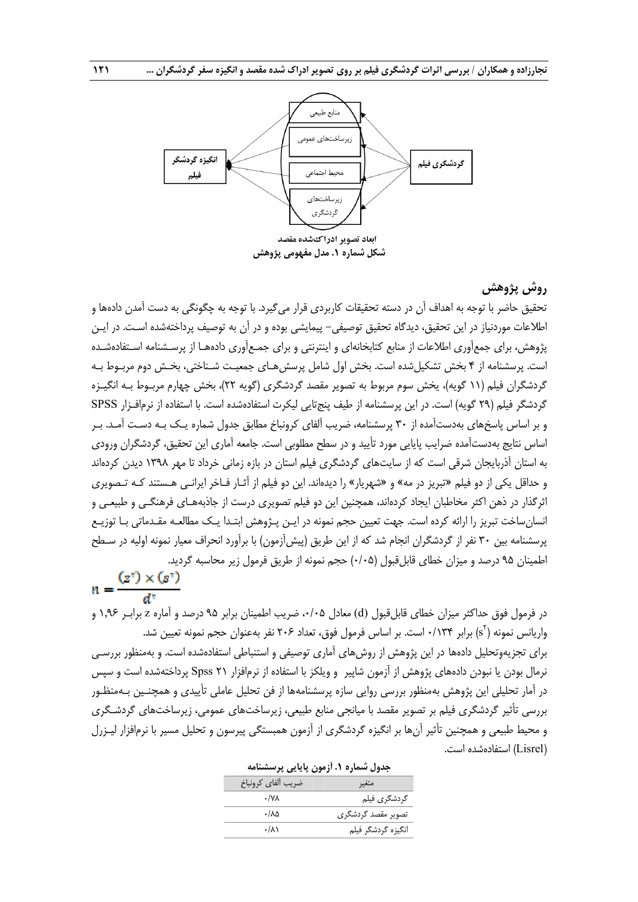

# **روش پژوهش**

تحقيق حاضر با توجه به اهداف آن در دسته تحقيقات كاربردي قرار مي گيرد. با توجه به چگونگي به دست آمدن دادهها و اطلاعات موردنياز در اين تحقيق، ديدگاه تحقيق توصيفي- پيمايشي بوده و در آن به توصيف پرداختهشده اسـت. در ايـن پژوهش، براي جمعآوري اطلاعات از منابع كتابخانهاي و اينترنتي و براي جمـعآوري دادههـا از پرسـشنامه اسـتفادهشـده است. پرسشنامه از 4 بخش تشكيلشده است. بخش اول شامل پرسشهـاي جمعيـت شـناختي، بخـش دوم مربـوط بـه گردشگران فيلم (11 گويه)، يخش سوم مربوط به تصوير مقصد گردشگري (گويه 22)، بخش چهارم مربـوط بـه انگيـزه گردشگر فيلم (29 گويه) است. در اين پرسشنامه از طيف پنجتايي ليكرت استفادهشده است. با استفاده از نرمافـزار SPSS و بر اساس پاسخهاي بهدستآمده از 30 پرسشنامه، ضريب آلفاي كرونباخ مطابق جدول شماره يـك بـه دسـت آمـد. بـر اساس نتايج بهدستآمده ضرايب پايايي مورد تأييد و در سطح مطلوبي است. جامعه آماري اين تحقيق، گردشگران ورودي به استان آذربايجان شرقي است كه از سايتهاي گردشگري فيلم استان در بازه زماني خرداد تا مهر 1398 ديدن كردهاند و حداقل يكي از دو فيلم «تبريز در مه» و «شهريار» را ديدهاند. اين دو فيلم از آثـار فـاخر ايرانـي هـستند كـه تـصويري اثرگذار در ذهن اكثر مخاطبان ايجاد كردهاند، همچنين اين دو فيلم تصويري درست از جاذبههـاي فرهنگـي و طبيعـي و انسانساخت تبريز را ارائه كرده است. جهت تعيين حجم نمونه در ايـن پـژوهش ابتـدا يـك مطالعـه مقـدماتي بـا توزيـع پرسشنامه بين 30 نفر از گردشگران انجام شد كه از اين طر يق (پيشآزمون) با برآورد انحراف معيار نمونه اوليه در سـطح اطمينان 95 درصد و ميزان خطاي قابلقبول (0/05) حجم نمونه از طريق فرمول زير محاسبه گرديد.

 $n = \frac{(z^{\dagger}) \times (s^{\dagger})}{d^{\dagger}}$ 

در فرمول فوق حداكثر ميزان خطاي قابلقبول (d (معادل ،0/05 ضريب اطمينان برابر 95 درصد و آماره z برابـر 1,96 و واريانس نمونه (`s) برابر ۱۳۴۰/۰ است. بر اساس فرمول فوق، تعداد ۲۰۶ نفر بهعنوان حجم نمونه تعيين شد. براي تجزيهوتحليل دادهها در اين پژوهش از روشهاي آماري توصيفي و استنباطي استفادهشده است. و بهمنظور بررسـي نرمال بودن يا نبودن دادههاي پژوهش از آزمون شاپير و ويلكز با استفاده از نرمافزار 21 Spss پرداختهشده است و سپس در آمار تحليلي اين پژوهش بهمنظور بررسي روايي سازه پرسشنامهها از فن تحليل عاملي تأييدي و همچنـين بـه منظـور بررسي تأثير گردشگري فيلم بر تصوير مقصد با ميانجي منابع طبيعي، زيرساخت هاي عمومي، زيرساختهاي گردشـگري و محيط طبيعي و همچنين تأثير آنها بر انگيزه گردشگري از آزمون همبستگي پيرسون و تحليل مسير با نرمافزار ليـزرل (Lisrel (استفادهشده است.

| جدول شماره ۱. اَزمون پایایی پرسشنامه |                    |
|--------------------------------------|--------------------|
| ضريب ألفاي كرونباخ                   | متغير              |
| $\cdot$ /YA                          | گردشگري فيلم       |
| ۰/۸۵                                 | تصویر مقصد گردشگری |
| ۰/۸۱                                 | انگیزه گردشگر فیلم |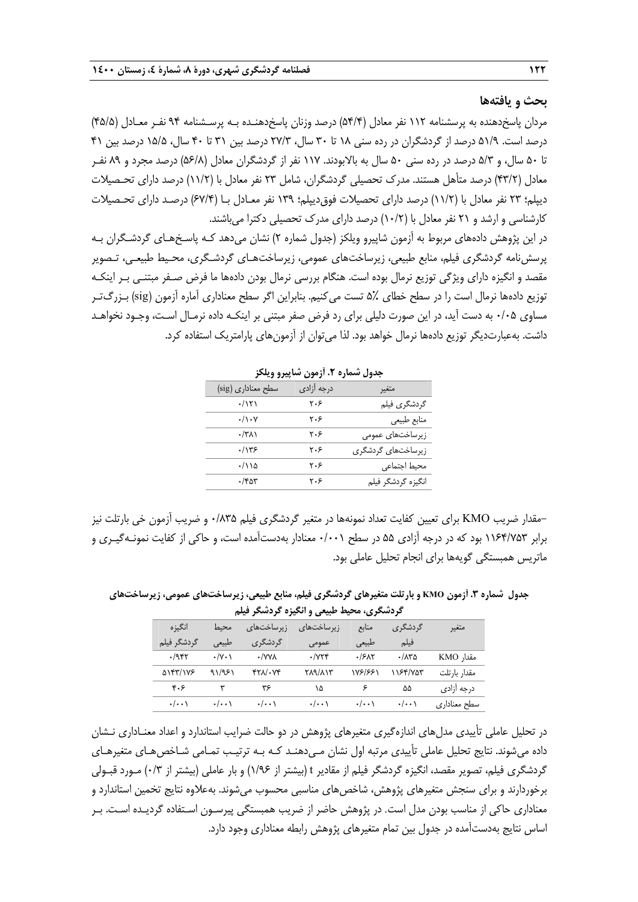#### **بحث و يافتهها**

مردان پاسخدهنده به پرسشنامه 112 نفر معادل (54/4) درصد وزنان پاسخدهنـده بـه پرسـشنامه 94 نفـر معـادل (45/5) درصد است. 51/9 درصد از گردشگران در رده سني 18 تا 30 سال، 27/3 درصد بين 31 تا 40 سال، 15/5 درصد بين 41 تا 50 سال، و 5/3 درصد در رده سني 50 سال به بالابودند. 117 نفر از گردشگران معادل (56/8) درصد مجرد و 89 نفـر معادل (43/2) درصد متأهل هستند. مدرك تحصيلي گردشگران، شامل 23 نفر معادل با (11/2) درصد داراي تحـصيلات ديپلم؛ 23 نفر معادل با (11/2) درصد داراي تحصيلات فوقديپلم؛ 139 نفر معـادل بـا (67/4) درصـد داراي تحـصيلات كارشناسي و ارشد و 21 نفر معادل با (10/2) درصد داراي مدرك تحصيلي دكترا ميباشند.

در اين پژوهش دادههاي مربوط به آزمون شاپيرو ويلكز (جدول شماره 2) نشان ميدهد كـه پاسـخهـاي گردشـگران بـه پرسشنامه گردشگري فيلم، منابع طبيعي، زيرساختهاي عمومي، زيرساختهـاي گردشـگري، محـيط طبيعـي، تـصوير مقصد و انگيزه داراي ويژگي توزيع نرمال بوده است. هنگام بررسي نرمال بودن دادهها ما فرض صـفر مبتنـي بـر اينكـه توزيع دادهها نرمال است را در سطح خطاي 5% تست ميكنيم. بنابراين اگر سطح معناداري آماره آزمون (sig (بـزرگتـر مساوي 0/05 به دست آيد، در اين صورت دليلي براي رد فرض صفر مبتني بر اينكـه داده نرمـال اسـت، وجـود نخواهـد داشت. بهعبارتديگر توزيع دادهها نرمال خواهد بود. لذا ميتوان از آزمونهاي پارامتريك استفاده كرد.

| , ., ,,                      |            |                    |
|------------------------------|------------|--------------------|
| سطح معناداری (sig)           | درجه آزادى | متغير              |
| $\cdot$ /۱۲۱                 | ۲۰۶        | گردشگری فیلم       |
| $\cdot/\rangle \cdot \gamma$ | ۲۰۶        | منابع طبيعي        |
| $\cdot$ /۳۸۱                 | ۲۰۶        | زیرساختهای عمومی   |
| .7175                        | ۲۰۶        | زیرساختهای گردشگری |
| ۱۱۵/۰                        | ۲۰۶        | محيط اجتماعي       |
| $\cdot$ /۴۵۳                 | ۲۰۶        | انگیزه گردشگر فیلم |

**جدول شماره .2 آزمون شاپيرو ويلكز** 

برابر 1164/753 بود كه در درجه آزادي <sup>55</sup> در سطح 0/001 معنادار بهدستآمده است، <sup>و</sup> حاكي از كفايت نمونـهگيـري <sup>و</sup>-مقدار ضريب KMO براي تعيين كفايت تعداد نمونهها در متغير گردشگري فيلم 0/835 و ضريب آزمون خي بارتلت نيز ماتريس همبستگي گويهها براي انجام تحليل عاملي بود.

**جدول شماره .3 آزمون KMO و بارتلت متغيرهاي گردشگري فيلم، منابع طبيعي، زيرساختهاي عمومي، زيرساختهاي گردشگري، محيط طبيعي و انگيزه گردشگر فيلم** 

|                    |                             | سیتوں رے سیرے سرے سے سینماز |                                | - ۱۳۶۶ م. س        |                    |                    |
|--------------------|-----------------------------|-----------------------------|--------------------------------|--------------------|--------------------|--------------------|
| انگىز ە            | محىط                        | زیرساختهای                  | ; برساختهای ِ                  | مناىع              | گر دشگر ی          | متغير              |
| گردشگر فیلم        | طبيعه                       | گر دشگر ی                   | عمومى                          | طبيعي              | فيلم               |                    |
| .7957              | $\cdot/\gamma \cdot \gamma$ | • VVV                       | $\cdot$ / $\vee$ $\vee$ $\vee$ | ۶۸۲ ۰              | ۸۳۵/۰              | مقدار KMO          |
| <b>AIFT/1VE</b>    | 91/981                      | $fY\Lambda/\cdot Vf$        | <b>TA9/AIT</b>                 | 1881881            | ۱۱۶۴/۷۵۳           | مقدار بارتلت       |
| ۴۰۶                | ٣                           | ۳۶                          | ۱۵                             | ۶                  | ۵۵                 | درجه آزاد <i>ی</i> |
| $\cdot/\cdot\cdot$ | $\cdot$ / $\cdot$           | $\cdot$ / $\cdot$           | $\cdot/\cdot\cdot$             | $\cdot/\cdot\cdot$ | $\cdot/\cdot\cdot$ | سطح معناداري       |

در تحليل عاملي تأييدي مدلهاي اندازهگيري متغيرهاي پژوهش در دو حالت ضرايب استاندارد و اعداد معنـاداري نـشان داده ميشوند. نتايج تحليل عاملي تأييدي مرتبه اول نشان مـيدهنـد كـه بـه ترتيـب تمـامي شـاخص هـاي متغيرهـاي گردشگري فيلم، تصوير مقصد، انگيزه گردشگر فيلم از مقادير t) بيشتر از 1/96) و بار عاملي (بيشتر از 0/3) مـورد قبـولي برخوردارند و براي سنجش متغيرهاي پژوهش، شاخص هاي مناسبي محسوب مي شوند. بهعلاوه نتايج تخمين استاندارد و معناداري حاكي از مناسب بودن مدل است. در پژوهش حاضر از ضريب همبستگي پيرسـون اسـتفاده گرديـده اسـت . بـر اساس نتايج بهدستآمده در جدول بين تمام متغيرهاي پژوهش رابطه معناداري وجود دارد.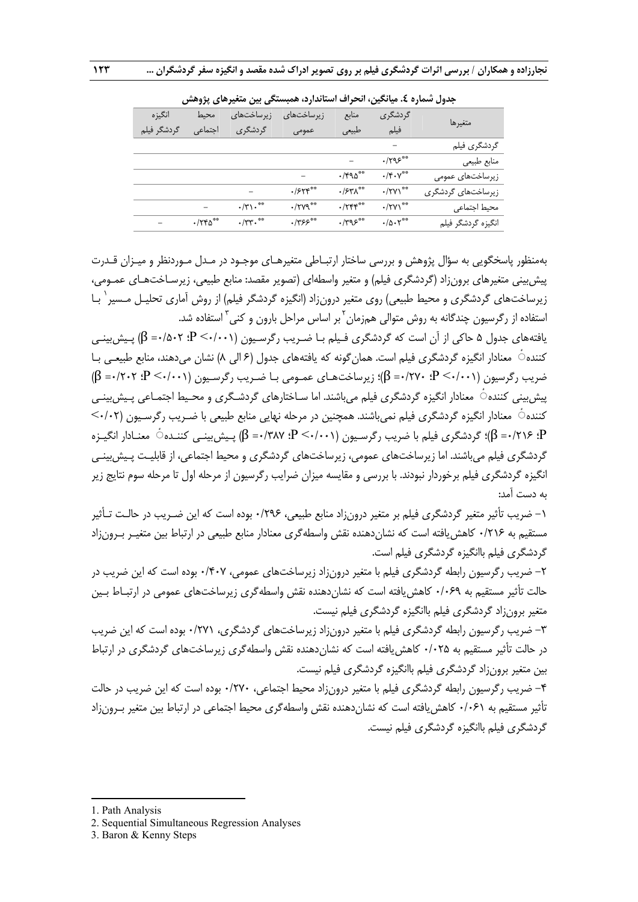|                    | ◢                                        |                          |                    | ---                                   | <i>"</i>       |             |
|--------------------|------------------------------------------|--------------------------|--------------------|---------------------------------------|----------------|-------------|
| متغيرها            | گردشگری                                  | منابع                    | زیرساختها <i>ی</i> | زیرساختها <i>ی</i>                    | محنط           | انگيزه      |
|                    | فيلم                                     | طبيعي                    | عمومى              | گردشگری                               | اجتماعى        | گردشگر فیلم |
| گردشگري فيلم       |                                          |                          |                    |                                       |                |             |
| منابع طبيعي        | $\cdot$ ۳۹۶ $\cdot$                      |                          |                    |                                       |                |             |
| زیرساختهای عمومی   | $\cdot/\mathfrak{r}\cdot\mathsf{V}^{**}$ | $\cdot$ /۴۹۵**           |                    |                                       |                |             |
| زیرساختهای گردشگری | $\cdot$ /٢٧١**                           | $\cdot$ /۶۳ $\Lambda$ ** | .555               |                                       |                |             |
| محيط اجتماعي       | $\cdot$ /۲۷۱ <sup>**</sup>               | $\cdot$ /٢۴۴**           | $\cdot$ /۲۷۹**     | $\cdot/\mathbf{y}\cdot$ <sup>**</sup> |                |             |
| انگیزه گردشگر فیلم | $\cdot/\Delta\cdot\Upsilon^{**}$         | $.795***$                | $.7755***$         | $\cdot$ /٣٣ $\cdot$ <sup>**</sup>     | $\cdot$ /٢۴٥** |             |
|                    |                                          |                          |                    |                                       |                |             |

**جدول شماره .4 ميانگين، انحراف استاندارد، همبستگي بين متغيرهاي پژوهش** 

بهمنظور پاسخگويي به سؤال پژوهش و بررسي ساختار ارتبـاطي متغيرهـاي موجـود در مـدل مـوردنظر و ميـزان قـدرت پيشبيني متغيرهاي برونزاد (گردشگري فيلم) و متغير واسطهاي (تصوير مقصد: منابع طبيعي، زيرسـاختهـاي عمـومي، زيرساختهاي گردشگري و محيط طبيعي) روي متغير درونزاد (انگيزه گردشگر فيلم) از روش آماري تحليـل مـسير` بـا ُستفاده از رگرسیون چندگانه به روش متوالی همزمان<sup>٬</sup> بر اساس مراحل بارون و کنی<sup>۳</sup> استفاده شد.

يافتههاي جدول ۵ حاكي از آن است كه گردشگري فـيلم بـا ضـريب رگرسـيون (0/0-/0- P؛ ۵۰۲) = β) پـيش،بينـي كننده ٔ◌ معنادار انگيزه گردشگري فيلم است. همانگونه كه يافتههاي جدول (6 الي 8) نشان ميدهند، منابع طبيعـي بـا ضريب رگرسيون (0/001> P؛ 0/270= β(؛ زيرساختهـاي عمـومي بـا ضـريب رگرسـيون (0/001> P؛ 0/202= β ( پيش بيني كننده ٔ معنادار انگيزه گردشگري فيلم مي باشند. اما سـاختارهاي گردشـگري و محـيط اجتمـاعي پـيش بينـي كننده ٔ◌ معنادار انگيزه گردشگري فيلم نميباشند. همچنين در مرحله نهايي منابع طبيعي با ضـريب رگرسـيون (0/02> P؛ 0/216= β(؛ گردشگري فيلم با ضريب رگرسـيون (0/001> P؛ 0/387= β (پـيشبينـي كننـده ٔ◌ معنـادار انگيـزه گردشگري فيلم ميباشند. اما زيرساختهاي عمومي، زيرساختهاي گردشگري و محيط اجتماعي، از قابليـت پـيش،بينـي انگيزه گردشگري فيلم برخوردار نبودند. با بررسي و مقايسه ميزان ضرايب رگرسيون از مرحله اول تا مرحله سوم نتايج زير به دست آمد:

-1 ضريب تأثير متغير گردشگري فيلم بر متغير درونزاد منابع طبيعي، 0/296 بوده است كه اين ضـريب در حالـت تـأثير مستقيم به ١٢١۶٠ كاهش يافته است كه نشان دهنده نقش واسطهگري معنادار منابع طبيعي در ارتباط بين متغيـر بـرون;اد گردشگري فيلم باانگيزه گردشگري فيلم است.

-2 ضريب رگرسيون رابطه گردشگري فيلم با متغير درونزاد زيرساختهاي عمومي، 0/407 بوده است كه اين ضريب در حالت تأثير مستقيم به 0/069 كاهشيافته است كه نشاندهنده نقش واسطهگري زيرساختهاي عمومي در ارتبـاط بـين متغير برونزاد گردشگري فيلم باانگيزه گردشگري فيلم نيست.

-3 ضريب رگرسيون رابطه گردشگري فيلم با متغير درونزاد زيرساختهاي گردشگري، 0/271 بوده است كه اين ضريب در حالت تأثير مستقيم به 0/025 كاهشيافته است كه نشاندهنده نقش واسطهگري زيرساختهاي گردشگري در ارتباط بين متغير برونزاد گردشگري فيلم باانگيزه گردشگري فيلم نيست.

-4 ضريب رگرسيون رابطه گردشگري فيلم با متغير درونزاد محيط اجتماعي، 0/270 بوده است كه اين ضريب در حالت تأثير مستقيم به 0/061 كاهشيافته است كه نشاندهنده نقش واسطهگري محيط اجتماعي در ارتباط بين متغير بـرونزاد گردشگري فيلم باانگيزه گردشگري فيلم نيست.

1. Path Analysis

1

2. Sequential Simultaneous Regression Analyses

<sup>3.</sup> Baron & Kenny Steps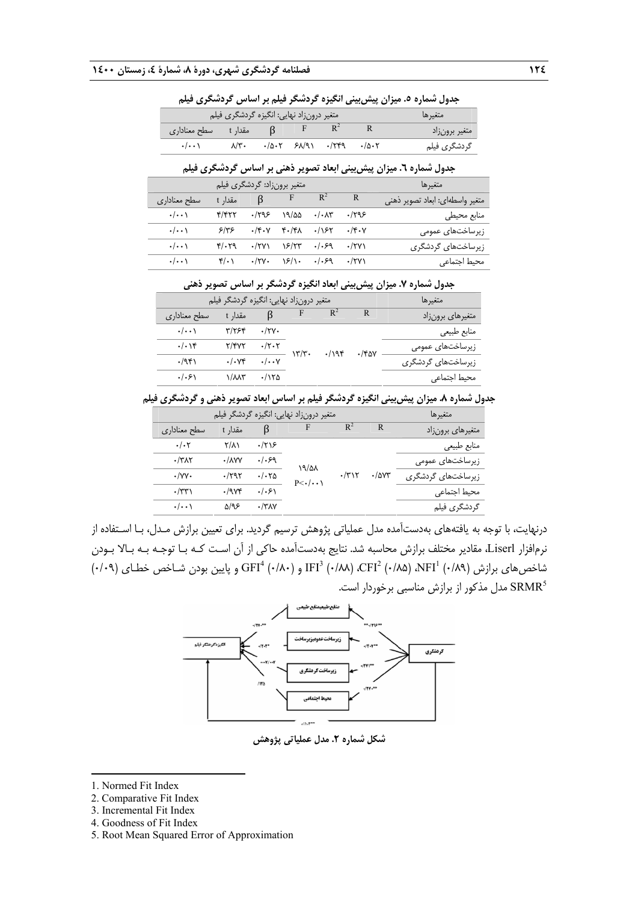متغيرها متغير درونزاد نهايي: انگيزه گردشگري فيلم <sup>2</sup> <sup>R</sup> متغير برونزاد <sup>R</sup>  $\overline{\mathsf{B}}$  مقدار t مقدار t مقداداری F گردشگري فيلم 0/502 0/249 68/91 0/502 8/30 0/001

**جدول شماره .5 ميزان پيشبيني انگيزه گردشگر فيلم بر اساس گردشگري فيلم** 

| $\sim$                                                                                                                                                      |  |  |             |
|-------------------------------------------------------------------------------------------------------------------------------------------------------------|--|--|-------------|
| $\cdot/\cdot\cdot$ $\wedge/\overline{r}$ $\cdot/\Delta\cdot\overline{r}$ $\varphi\wedge/\overline{q}$ $\cdot/\overline{r}q$ $\cdot/\Delta\cdot\overline{r}$ |  |  | ردشگري فيلم |
|                                                                                                                                                             |  |  |             |

**جدول شماره .6 ميزان پيشبيني ابعاد تصوير ذهني بر اساس گردشگري فيلم** 

|                    |                     | متغیر برونزاد: گردشگری فیلم |                                                          |                        |              | متغيرها                         |
|--------------------|---------------------|-----------------------------|----------------------------------------------------------|------------------------|--------------|---------------------------------|
| سطح معناداری       | مقدا <sub>د</sub> t | B                           | $F \t R^2$                                               |                        | R            | متغير واسطهاى: أبعاد تصوير ذهني |
| $\cdot/\cdot\cdot$ | ۴/۴۲۲               | ۱۲۹۶                        | ۱۹/۵۵                                                    | $\cdot/\cdot \wedge$ ۳ | ۹۶۹۶.        | منابع محيطى                     |
| $\cdot/\cdot\cdot$ | ۶۱۳۶                |                             | $\cdot$ /۴ $\cdot$ v ۴ $\cdot$ /۴ $\Lambda$ $\cdot$ //۶۲ |                        | $\cdot$ /۴۰۷ | زیرساختهای عمومی                |
| $\cdot/\cdot\cdot$ | $Y/\cdot Y9$        | $\cdot$ /۲۷۱                | ۱۶/۲۳                                                    | $. / .$ ۶۹             | $\cdot$ /۲۷) | زیرساختها <i>ی</i> گردشگری      |
| $\cdot/\cdot\cdot$ | $f(\cdot)$          | $\cdot$ /۲۷۰                | $\sqrt{2}/\sqrt{2}$                                      | .1.59                  | $\cdot$ /۲۷) | محيط اجتماعى                    |

**جدول شماره .7 ميزان پيشبيني ابعاد انگيزه گردشگر بر اساس تصوير ذهني** 

|                    | متغیر درونزاد نهایی: انگیزه گردشگر فیلم |                      |       |      |              | متغيرها                    |
|--------------------|-----------------------------------------|----------------------|-------|------|--------------|----------------------------|
| سطح معناداري       | مقدار t                                 | ß                    | F     |      | R            | متغيرهاي برونزاد           |
| $\cdot/\cdot\cdot$ | ۳/۲۶۴                                   | $\cdot$ /۲۷ $\cdot$  |       |      |              | منابع طبيعي                |
| . / .              | Y/YYY                                   | ۰/۲۰۲                | ۲۳/۳۰ | .798 | $\cdot$ /۴۵۷ | زیرساختهای عمومی           |
| .7951              | . / . Vf                                | $\cdot/\cdot\cdot$ Y |       |      |              | زیرساختها <i>ی</i> گردشگری |
| .  .9              | $\sqrt{\lambda\lambda\tau}$             | ۱۲۵/۰                |       |      |              | محيط اجتماعى               |

**جدول شماره .8 ميزان پيشبيني انگيزه گردشگر فيلم بر اساس ابعاد تصوير ذهني و گردشگري فيلم** 

| متغیر درونزاد نهایی: انگیزه گردشگر فیلم                                            |              |              | متغبرها                    |
|------------------------------------------------------------------------------------|--------------|--------------|----------------------------|
| F<br>ß<br>مقدار t<br>سطح معناداری                                                  | $R^2$        | R            | متغیرهای برونزاد           |
| $\frac{1}{2}$<br>$\cdot/\cdot7$<br>۱۲۱۶                                            |              |              | منابع طبيعي                |
| .1.59<br>$\cdot$ /٣ $\wedge$ ٢<br>$\cdot$ / $\Delta V$<br>۱۹/۵۸                    |              |              | زیرساختهای عمومی           |
| $\cdot/\cdot\tau$ s<br>$\cdot$ /yy $\cdot$<br>$\cdot$ /۲۹۲<br>$P<\cdot/\cdot\cdot$ | $\cdot$ /۳۱۲ | $\cdot$ /۵۷۳ | زیرساختها <i>ی</i> گردشگری |
| .  .5 <br>$\cdot$ /٣٣ $\lambda$<br>$\cdot$ /984                                    |              |              | محيط اجتماعى               |
| ۵/۹۶<br>$\cdot$ /٣٨٧<br>$\cdot/\cdot\cdot$                                         |              |              | گردشگری فیلم               |

درنهايت، با توجه به يافتههاي بهدستآمده مدل عملياتي پژوهش ترسيم گرديد. براي تعيين برازش مـدل، بـا اسـتفاده از نرمافزار Liserl، مقادير مختلف برازش محاسبه شد. نتايج بهدستآمده حاكي از آن اسـت كـه بـا توجـه بـه بـالا بـودن  $\rm{GFI}^4$  (-/۸۹) ،  $\rm{CFI}^2$  (-/۸۸) ،  $\rm{CFI}^2$  (-/۸۸) ،  $\rm{CFI}^2$  (-/۸۹) ،  $\rm{NFI}^1$  (-/۸۹) ،  $\rm{OFI}^1$  (-/۸۹) ،  $\rm{O}^2$ مدل مذكور از برازش مناسبي برخوردار است. 5SRMR



**شكل شماره .2 مدل عملياتي پژوهش**

- 2. Comparative Fit Index
- 3. Incremental Fit Index
- 4. Goodness of Fit Index
- 5. Root Mean Squared Error of Approximation

<sup>1.</sup> Normed Fit Index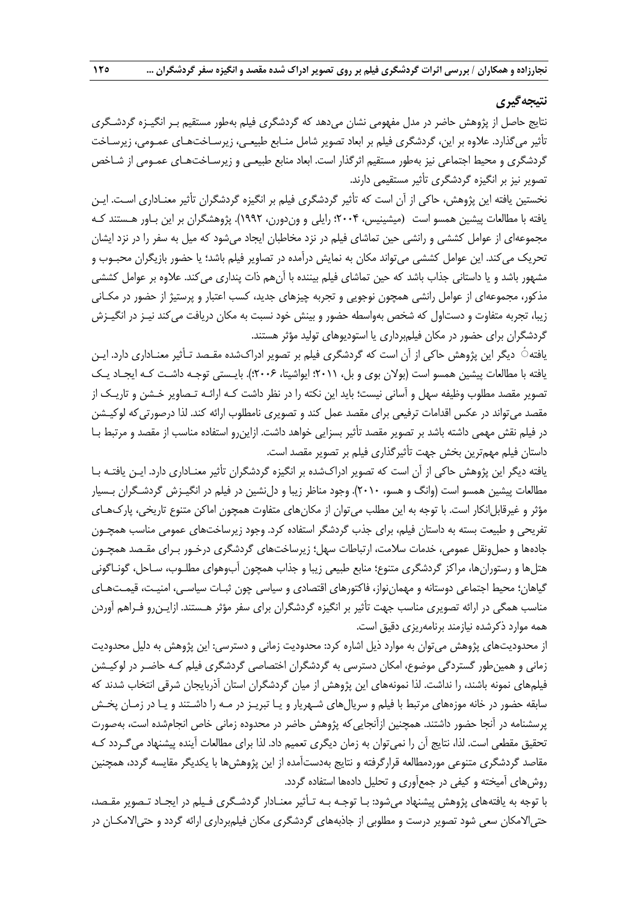# **نتيجهگيري**

نتايج حاصل از پژوهش حاضر در مدل مفهومي نشان مي دهد كه گردشگري فيلم بهطور مستقيم بـر انگيـزه گردشـگري تأثير ميگذارد. علاوه بر اين، گردشگري فيلم بر ابعاد تصوير شامل منـابع طبيعـي، زيرسـاخت هـاي عمـومي، زيرسـاخت گردشگري و محيط اجتماعي نيز بهطور مستقيم اثرگذار است. ابعاد منابع طبيعـي و زيرسـاختهـاي عمـومي از شـاخص تصوير نيز بر انگيزه گردشگري تأثير مستقيمي دارند.

نخستين يافته اين پژوهش، حاكي از آن است كه تأثير گردشگري فيلم بر انگيزه گردشگران تأثير معنـاداري اسـت. ايـن يافته با مطالعات پيشين همسو است (ميشينيس، 2004؛ رايلي و وندورن، 1992). پژوهشگران بر اين بـاور هـستند كـه مجموعهاي از عوامل كششي و رانشي حين تماشاي فيلم در نزد مخاطبان ايجاد ميشود كه ميل به سفر را در نزد ايشان تحريك ميكند. اين عوامل كششي ميتواند مكان به نمايش درآمده در تصاوير فيلم باشد؛ يا حضور بازيگران محبـوب و مشهور باشد و يا داستاني جذاب باشد كه حين تماشاي فيلم بيننده با آن هم ذات پنداري ميكند. علاوه بر عوامل كششي مذكور، مجموعهاي از عوامل رانشي همچون نوجويي و تجربه چيزهاي جديد، كسب اعتبار و پرستيژ از حضور در مكـاني زيبا، تجربه متفاوت و دستاول كه شخص بهواسطه حضور و بينش خود نسبت به مكان دريافت ميكند نيـز در انگيـزش گردشگران براي حضور در مكان فيلمبرداري يا استوديوهاي توليد مؤثر هستند.

يافته ٔ◌ ديگر اين پژوهش حاكي از آن است كه گردشگري فيلم بر تصوير ادراك شده مقـصد تـأثير معنـاداري دارد. ايـن يافته با مطالعات پيشين همسو است (بولان بوي و بل، 2011؛ ايواشيتا، 2006؛). بايـستي توجـه داشـت كـه ايجـاد يـك تصوير مقصد مطلوب وظيفه سهل و آساني نيست؛ بايد اين نكته را در نظر داشت كـه ارائـه تـصاوير خـشن و تاريـك از مقصد ميتواند در عكس اقدامات ترفيعي براي مقصد عمل كند و تصويري نامطلوب ارائه كند . لذا درصورتيكه لوكيـشن در فيلم نقش مهمي داشته باشد بر تصوير مقصد تأثير بسزايي خو اهد داشت. ازاينرو استفاده مناسب از مقصد و مرتبط بـا داستان فيلم مهمترين بخش جهت تأثيرگذاري فيلم بر تصوير مقصد است.

يافته ديگر اين پژوهش حاكي از آن است كه تصوير ادراك شده بر انگيزه گردشگران تأثير معنـاداري دارد. ايـن يافتـه بـا مطالعات پيشين همسو است (وانگ و هسو، 2010). وجود مناظر زيبا و دلنشين در فيلم در انگيـزش گردشـگران بـسيار مؤثر و غيرقابل|نكار است. با توجه به اين مطلب ميتوان از مكانهاي متفاوت همچون اماكن متنوع تاريخي، پاركهـاي تفريحي و طبيعت بسته به داستان فيلم، براي جذب گردشگر استفاده كرد . وجود زيرساختهاي عمومي مناسب همچـون جادهها و حملونقل عمومي، خدمات سلامت، ارتباطات سهل؛ زيرساختهاي گردشگري درخـور بـراي مقـصد همچـون هتلها و رستورانها، مراكز گردشگري متنوع؛ منابع طبيعي زيبا و جذاب همچون آب وهواي مطلـوب، سـاحل، گونـاگوني گياهان؛ محيط اجتماعي دوستانه و مهماننواز، فاكتورهاي اقتصادي و سياسي چون ثبـات سياسـي، امنيـت، قيمـتهـاي مناسب همگي در ارائه تصويري مناسب جهت تأثير بر انگيزه گردشگران براي سفر مؤثر هـستند . ازايـنرو فـراهم آوردن همه موارد ذكرشده نيازمند برنامهريزي دقيق است.

از محدوديتهاي پژوهش ميتوان به موارد ذيل اشاره كرد: محدوديت زماني و دسترسي: اين پژوهش به دليل محدوديت زماني و همينطور گستردگي موضوع، امكان دسترسي به گردشگران اختصاصي گردشگري فيلم كـه حاضـر در لوكيـشن فيلمهاي نمونه باشند، را نداشت. لذا نمونههاي اين پژوهش از ميان گردشگران استان آذربايجان شرقي انتخاب شدند كه سابقه حضور در خانه موزههاي مرتبط با فيلم و سريالهاي شـهريار و يـا تبريـز در مـه را داشـتند و يـا در زمـان پخـش پرسشنامه در آنجا حضور داشتند. همچنين ازآنجايي كه پژوهش حاضر در محدوده زماني خاص انجامشده است، بهصورت تحقيق مقطعي است. لذا، نتايج آن را نميتوان به زمان ديگري تعميم داد. لذا براي مطالعات آينده پيشنهاد ميگـردد كـه مقاصد گردشگري متنوعي موردمطالعه قرارگرفته و نتايج بهدستآمده از اين پژوهشها با يكديگر مقايسه گردد، همچنين روشهاي آميخته و كيفي در جمعآوري و تحليل دادهها استفاده گردد.

با توجه به يافتههاي پژوهش پيشنهاد ميشود: بـا توجـه بـه تـأثير معنـادار گردشـگري فـيلم در ايجـاد تـصوير مقـصد، حتيالامكان سعي شود تصوير درست و مطلوبي از جاذبههاي گردشگري مكان فيلمبرداري ارائه گردد و حتيالامكـان در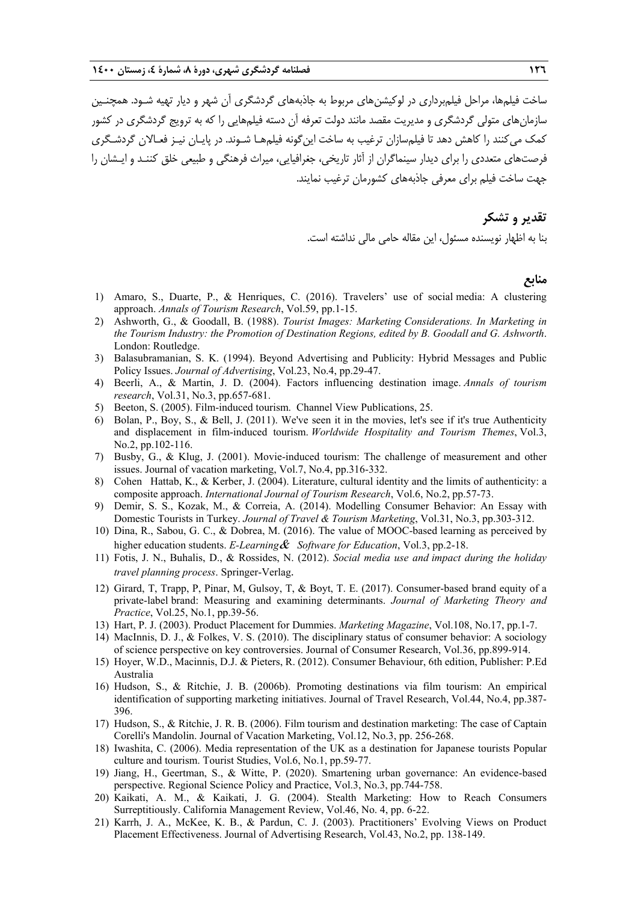ساخت فيلمها، مراحل فيلمبرداري در لوكيشنهاي مربوط به جاذبههاي گردشگري آن شهر و ديار تهيه شـود. همچنـين سازمانهاي متولي گردشگري و مديريت مقصد مانند دولت تعرفه آن دسته فيلمهايي را كه به ترويج گردشگري در كشور كمك ميكنند را كاهش دهد تا فيلمسازان ترغيب به ساخت اينگونه فيلمهـا شـوند. در پايـان نيـز فعـالان گردشـگري فرصتهاي متعددي را براي ديدار سينماگران از آثار تاريخي، جغرافيايي، ميراث فرهنگي و طبيعي خلق كننـد و ايـشان را جهت ساخت فيلم براي معرفي جاذبههاي كشورمان ترغيب نمايند.

> **تقدير و تشكر**  بنا به اظهار نويسنده مسئول، اين مقاله حامي مالي نداشته است.

### **منابع**

- 1) Amaro, S., Duarte, P., & Henriques, C. (2016). Travelers' use of social media: A clustering approach. *Annals of Tourism Research*, Vol.59, pp.1-15.
- 2) Ashworth, G., & Goodall, B. (1988). *Tourist Images: Marketing Considerations. In Marketing in the Tourism Industry: the Promotion of Destination Regions, edited by B. Goodall and G. Ashworth*. London: Routledge.
- 3) Balasubramanian, S. K. (1994). Beyond Advertising and Publicity: Hybrid Messages and Public Policy Issues. *Journal of Advertising*, Vol.23, No.4, pp.29-47.
- 4) Beerli, A., & Martin, J. D. (2004). Factors influencing destination image. *Annals of tourism research*, Vol.31, No.3, pp.657-681.
- 5) Beeton, S. (2005). Film-induced tourism. Channel View Publications, 25.
- 6) Bolan, P., Boy, S., & Bell, J. (2011). We've seen it in the movies, let's see if it's true Authenticity and displacement in film-induced tourism. *Worldwide Hospitality and Tourism Themes*, Vol.3, No.2, pp.102-116.
- 7) Busby, G., & Klug, J. (2001). Movie-induced tourism: The challenge of measurement and other issues. Journal of vacation marketing, Vol.7, No.4, pp.316-332.
- 8) Cohen Hattab, K., & Kerber, J. (2004). Literature, cultural identity and the limits of authenticity: a composite approach. *International Journal of Tourism Research*, Vol.6, No.2, pp.57-73.
- 9) Demir, S. S., Kozak, M., & Correia, A. (2014). Modelling Consumer Behavior: An Essay with Domestic Tourists in Turkey. *Journal of Travel & Tourism Marketing*, Vol.31, No.3, pp.303-312.
- 10) Dina, R., Sabou, G. C., & Dobrea, M. (2016). The value of MOOC-based learning as perceived by higher education students. *E-Learning*& *Software for Education*, Vol.3, pp.2-18.
- 11) Fotis, J. N., Buhalis, D., & Rossides, N. (2012). *Social media use and impact during the holiday travel planning process*. Springer-Verlag.
- 12) Girard, T, Trapp, P, Pinar, M, Gulsoy, T, & Boyt, T. E. (2017). Consumer-based brand equity of a private-label brand: Measuring and examining determinants. *Journal of Marketing Theory and Practice*, Vol.25, No.1, pp.39-56.
- 13) Hart, P. J. (2003). Product Placement for Dummies. *Marketing Magazine*, Vol.108, No.17, pp.1-7.
- 14) MacInnis, D. J., & Folkes, V. S. (2010). The disciplinary status of consumer behavior: A sociology of science perspective on key controversies. Journal of Consumer Research, Vol.36, pp.899-914.
- 15) Hoyer, W.D., Macinnis, D.J. & Pieters, R. (2012). Consumer Behaviour, 6th edition, Publisher: P.Ed Australia
- 16) Hudson, S., & Ritchie, J. B. (2006b). Promoting destinations via film tourism: An empirical identification of supporting marketing initiatives. Journal of Travel Research, Vol.44, No.4, pp.387- 396.
- 17) Hudson, S., & Ritchie, J. R. B. (2006). Film tourism and destination marketing: The case of Captain Corelli's Mandolin. Journal of Vacation Marketing, Vol.12, No.3, pp. 256-268.
- 18) Iwashita, C. (2006). Media representation of the UK as a destination for Japanese tourists Popular culture and tourism. Tourist Studies, Vol.6, No.1, pp.59-77.
- 19) Jiang, H., Geertman, S., & Witte, P. (2020). Smartening urban governance: An evidence-based perspective. Regional Science Policy and Practice, Vol.3, No.3, pp.744-758.
- 20) Kaikati, A. M., & Kaikati, J. G. (2004). Stealth Marketing: How to Reach Consumers Surreptitiously. California Management Review, Vol.46, No. 4, pp. 6-22.
- 21) Karrh, J. A., McKee, K. B., & Pardun, C. J. (2003). Practitioners' Evolving Views on Product Placement Effectiveness. Journal of Advertising Research, Vol.43, No.2, pp. 138-149.